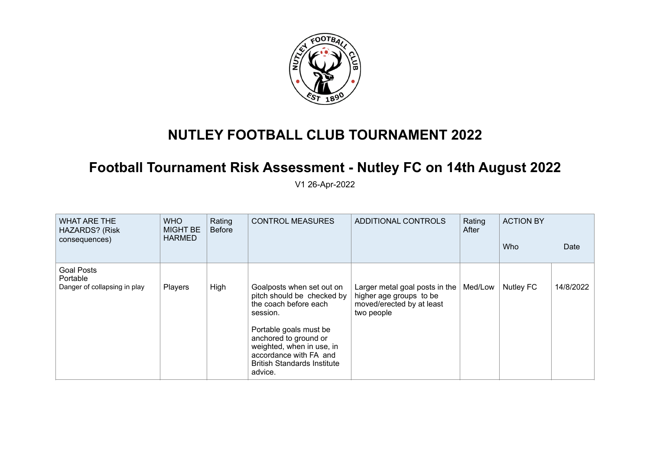

## **NUTLEY FOOTBALL CLUB TOURNAMENT 2022**

## **Football Tournament Risk Assessment - Nutley FC on 14th August 2022**

V1 26-Apr-2022

| <b>WHAT ARE THE</b><br>HAZARDS? (Risk<br>consequences)        | <b>WHO</b><br><b>MIGHT BE</b><br><b>HARMED</b> | Rating<br><b>Before</b> | <b>CONTROL MEASURES</b>                                                                                                                                                                                                                                 | ADDITIONAL CONTROLS                                                                                  | Rating<br>After | <b>ACTION BY</b><br>Who | Date      |
|---------------------------------------------------------------|------------------------------------------------|-------------------------|---------------------------------------------------------------------------------------------------------------------------------------------------------------------------------------------------------------------------------------------------------|------------------------------------------------------------------------------------------------------|-----------------|-------------------------|-----------|
| <b>Goal Posts</b><br>Portable<br>Danger of collapsing in play | Players                                        | High                    | Goalposts when set out on<br>pitch should be checked by<br>the coach before each<br>session.<br>Portable goals must be<br>anchored to ground or<br>weighted, when in use, in<br>accordance with FA and<br><b>British Standards Institute</b><br>advice. | Larger metal goal posts in the<br>higher age groups to be<br>moved/erected by at least<br>two people | Med/Low         | Nutley FC               | 14/8/2022 |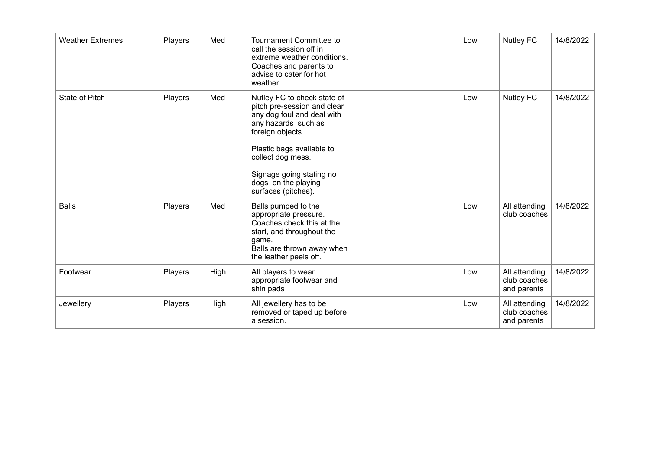| <b>Weather Extremes</b> | Players | Med  | Tournament Committee to<br>call the session off in<br>extreme weather conditions.<br>Coaches and parents to<br>advise to cater for hot<br>weather                                                                                                               | Low | <b>Nutley FC</b>                             | 14/8/2022 |
|-------------------------|---------|------|-----------------------------------------------------------------------------------------------------------------------------------------------------------------------------------------------------------------------------------------------------------------|-----|----------------------------------------------|-----------|
| <b>State of Pitch</b>   | Players | Med  | Nutley FC to check state of<br>pitch pre-session and clear<br>any dog foul and deal with<br>any hazards such as<br>foreign objects.<br>Plastic bags available to<br>collect dog mess.<br>Signage going stating no<br>dogs on the playing<br>surfaces (pitches). | Low | <b>Nutley FC</b>                             | 14/8/2022 |
| <b>Balls</b>            | Players | Med  | Balls pumped to the<br>appropriate pressure.<br>Coaches check this at the<br>start, and throughout the<br>game.<br>Balls are thrown away when<br>the leather peels off.                                                                                         | Low | All attending<br>club coaches                | 14/8/2022 |
| Footwear                | Players | High | All players to wear<br>appropriate footwear and<br>shin pads                                                                                                                                                                                                    | Low | All attending<br>club coaches<br>and parents | 14/8/2022 |
| Jewellery               | Players | High | All jewellery has to be<br>removed or taped up before<br>a session.                                                                                                                                                                                             | Low | All attending<br>club coaches<br>and parents | 14/8/2022 |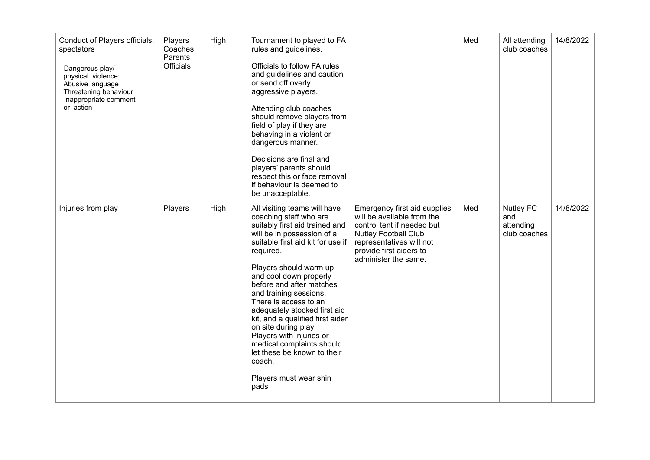| Conduct of Players officials,<br>spectators<br>Dangerous play/<br>physical violence;<br>Abusive language<br>Threatening behaviour<br>Inappropriate comment<br>or action | Players<br>Coaches<br>Parents<br>Officials | High | Tournament to played to FA<br>rules and guidelines.<br>Officials to follow FA rules<br>and guidelines and caution<br>or send off overly<br>aggressive players.<br>Attending club coaches<br>should remove players from<br>field of play if they are<br>behaving in a violent or<br>dangerous manner.<br>Decisions are final and<br>players' parents should<br>respect this or face removal<br>if behaviour is deemed to<br>be unacceptable.                                                                                                |                                                                                                                                                                                                        | Med | All attending<br>club coaches                        | 14/8/2022 |
|-------------------------------------------------------------------------------------------------------------------------------------------------------------------------|--------------------------------------------|------|--------------------------------------------------------------------------------------------------------------------------------------------------------------------------------------------------------------------------------------------------------------------------------------------------------------------------------------------------------------------------------------------------------------------------------------------------------------------------------------------------------------------------------------------|--------------------------------------------------------------------------------------------------------------------------------------------------------------------------------------------------------|-----|------------------------------------------------------|-----------|
| Injuries from play                                                                                                                                                      | Players                                    | High | All visiting teams will have<br>coaching staff who are<br>suitably first aid trained and<br>will be in possession of a<br>suitable first aid kit for use if<br>required.<br>Players should warm up<br>and cool down properly<br>before and after matches<br>and training sessions.<br>There is access to an<br>adequately stocked first aid<br>kit, and a qualified first aider<br>on site during play<br>Players with injuries or<br>medical complaints should<br>let these be known to their<br>coach.<br>Players must wear shin<br>pads | Emergency first aid supplies<br>will be available from the<br>control tent if needed but<br><b>Nutley Football Club</b><br>representatives will not<br>provide first aiders to<br>administer the same. | Med | <b>Nutley FC</b><br>and<br>attending<br>club coaches | 14/8/2022 |